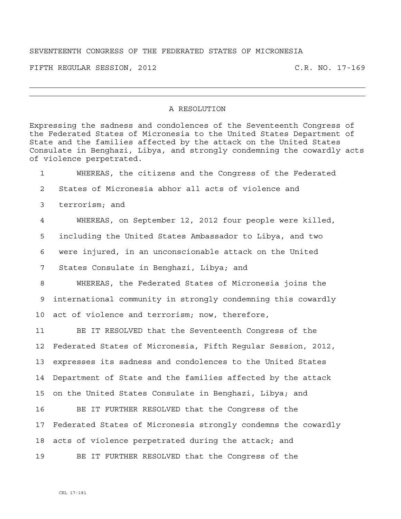## SEVENTEENTH CONGRESS OF THE FEDERATED STATES OF MICRONESIA

FIFTH REGULAR SESSION, 2012 C.R. NO. 17-169

## A RESOLUTION

Expressing the sadness and condolences of the Seventeenth Congress of the Federated States of Micronesia to the United States Department of State and the families affected by the attack on the United States Consulate in Benghazi, Libya, and strongly condemning the cowardly acts of violence perpetrated.

1 WHEREAS, the citizens and the Congress of the Federated 2 States of Micronesia abhor all acts of violence and 3 terrorism; and 4 WHEREAS, on September 12, 2012 four people were killed, 5 including the United States Ambassador to Libya, and two 6 were injured, in an unconscionable attack on the United 7 States Consulate in Benghazi, Libya; and 8 WHEREAS, the Federated States of Micronesia joins the 9 international community in strongly condemning this cowardly 10 act of violence and terrorism; now, therefore, 11 BE IT RESOLVED that the Seventeenth Congress of the 12 Federated States of Micronesia, Fifth Regular Session, 2012, 13 expresses its sadness and condolences to the United States 14 Department of State and the families affected by the attack 15 on the United States Consulate in Benghazi, Libya; and 16 BE IT FURTHER RESOLVED that the Congress of the 17 Federated States of Micronesia strongly condemns the cowardly 18 acts of violence perpetrated during the attack; and 19 BE IT FURTHER RESOLVED that the Congress of the